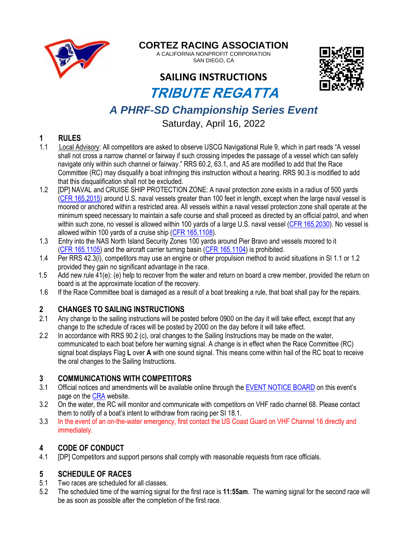

### **CORTEZ RACING ASSOCIATION**

A CALIFORNIA NONPROFIT CORPORATION SAN DIEGO, CA

### **SAILING INSTRUCTIONS**



# **TRIBUTE REGATTA**

## *A PHRF-SD Championship Series Event*

Saturday, April 16, 2022

# 1 **RULES**<br>1.1 Local Ad

- Local Advisory: All competitors are asked to observe USCG Navigational Rule 9, which in part reads "A vessel shall not cross a narrow channel or fairway if such crossing impedes the passage of a vessel which can safely navigate only within such channel or fairway." RRS 60.2, 63.1, and A5 are modified to add that the Race Committee (RC) may disqualify a boat infringing this instruction without a hearing. RRS 90.3 is modified to add that this disqualification shall not be excluded.
- 1.2 **IDPI NAVAL and CRUISE SHIP PROTECTION ZONE: A naval protection zone exists in a radius of 500 yards** [\(CFR 165.2015\)](https://www.govinfo.gov/content/pkg/CFR-2020-title33-vol2/pdf/CFR-2020-title33-vol2-sec165-2015.pdf) around U.S. naval vessels greater than 100 feet in length, except when the large naval vessel is moored or anchored within a restricted area. All vessels within a naval vessel protection zone shall operate at the minimum speed necessary to maintain a safe course and shall proceed as directed by an official patrol, and when within such zone, no vessel is allowed within 100 yards of a large U.S. naval vessel [\(CFR 165.2030\)](https://www.govinfo.gov/content/pkg/CFR-2020-title33-vol2/pdf/CFR-2020-title33-vol2-sec165-2030.pdf). No vessel is allowed within 100 yards of a cruise ship [\(CFR 165.1108\)](https://www.govinfo.gov/content/pkg/CFR-2020-title33-vol2/pdf/CFR-2020-title33-vol2-sec165-1108.pdf).
- 1.3 Entry into the NAS North Island Security Zones 100 yards around Pier Bravo and vessels moored to it [\(CFR 165.1105\)](https://www.govinfo.gov/content/pkg/CFR-2014-title33-vol2/pdf/CFR-2014-title33-vol2-sec165-1105.pdf) and the aircraft carrier turning basin [\(CFR 165.1104\)](https://www.govinfo.gov/content/pkg/CFR-2014-title33-vol2/pdf/CFR-2014-title33-vol2-sec165-1104.pdf) is prohibited.
- 1.4 Per RRS 42.3(i), competitors may use an engine or other propulsion method to avoid situations in SI 1.1 or 1.2 provided they gain no significant advantage in the race.
- 1.5 Add new rule 41(e): (e) help to recover from the water and return on board a crew member, provided the return on board is at the approximate location of the recovery.
- 1.6 If the Race Committee boat is damaged as a result of a boat breaking a rule, that boat shall pay for the repairs.

#### **2 CHANGES TO SAILING INSTRUCTIONS**

- 2.1 Any change to the sailing instructions will be posted before 0900 on the day it will take effect, except that any change to the schedule of races will be posted by 2000 on the day before it will take effect.
- 2.2 In accordance with RRS 90.2 (c), oral changes to the Sailing Instructions may be made on the water, communicated to each boat before her warning signal. A change is in effect when the Race Committee (RC) signal boat displays Flag **L** over **A** with one sound signal. This means come within hail of the RC boat to receive the oral changes to the Sailing Instructions.

#### **3 COMMUNICATIONS WITH COMPETITORS**

- 3.1 Official notices and amendments will be available online through the [EVENT NOTICE BOARD](https://www.regattanetwork.com/event/24461) on this event's page on the [CRA](http://cortezracing.com/index.html) website.
- 3.2 On the water, the RC will monitor and communicate with competitors on VHF radio channel 68. Please contact them to notify of a boat's intent to withdraw from racing per SI 18.1.
- 3.3 In the event of an on-the-water emergency, first contact the US Coast Guard on VHF Channel 16 directly and immediately.

#### **4 CODE OF CONDUCT**

4.1 [DP] Competitors and support persons shall comply with reasonable requests from race officials.

#### **5 SCHEDULE OF RACES**

- 5.1 Two races are scheduled for all classes.
- 5.2 The scheduled time of the warning signal for the first race is **11:55am**. The warning signal for the second race will be as soon as possible after the completion of the first race.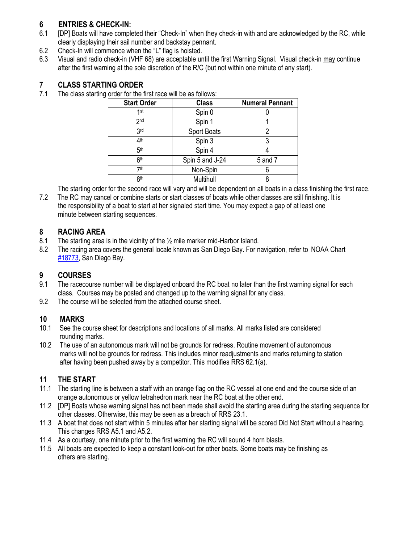#### **6 ENTRIES & CHECK-IN:**

- 6.1 [DP] Boats will have completed their "Check-In" when they check-in with and are acknowledged by the RC, while clearly displaying their sail number and backstay pennant.
- 6.2 Check-In will commence when the "L" flag is hoisted.
- 6.3 Visual and radio check-in (VHF 68) are acceptable until the first Warning Signal. Visual check-in may continue after the first warning at the sole discretion of the R/C (but not within one minute of any start).

#### **7 CLASS STARTING ORDER**

7.1 The class starting order for the first race will be as follows:

| <b>Start Order</b> | <b>Class</b>    | <b>Numeral Pennant</b> |
|--------------------|-----------------|------------------------|
| 1st                | Spin 0          |                        |
| 2 <sub>nd</sub>    | Spin 1          |                        |
| 3 <sub>rd</sub>    | Sport Boats     |                        |
| 4 <sup>th</sup>    | Spin 3          |                        |
| 5 <sup>th</sup>    | Spin 4          |                        |
| 6 <sup>th</sup>    | Spin 5 and J-24 | 5 and 7                |
| 7th                | Non-Spin        |                        |
| 8 <sup>th</sup>    | Multihull       |                        |

The starting order for the second race will vary and will be dependent on all boats in a class finishing the first race.

7.2 The RC may cancel or combine starts or start classes of boats while other classes are still finishing. It is the responsibility of a boat to start at her signaled start time. You may expect a gap of at least one minute between starting sequences.

#### **8 RACING AREA**

- 8.1 The starting area is in the vicinity of the ½ mile marker mid-Harbor Island.
- 8.2 The racing area covers the general locale known as San Diego Bay. For navigation, refer to NOAA Chart [#18773,](https://www.charts.noaa.gov/OnLineViewer/18773.shtml) San Diego Bay.

#### **9 COURSES**

- 9.1 The racecourse number will be displayed onboard the RC boat no later than the first warning signal for each class. Courses may be posted and changed up to the warning signal for any class.
- 9.2 The course will be selected from the attached course sheet.

#### **10 MARKS**

- 10.1 See the course sheet for descriptions and locations of all marks. All marks listed are considered rounding marks.
- 10.2 The use of an autonomous mark will not be grounds for redress. Routine movement of autonomous marks will not be grounds for redress. This includes minor readjustments and marks returning to station after having been pushed away by a competitor. This modifies RRS 62.1(a).

#### **11 THE START**

- 11.1 The starting line is between a staff with an orange flag on the RC vessel at one end and the course side of an orange autonomous or yellow tetrahedron mark near the RC boat at the other end.
- 11.2 [DP] Boats whose warning signal has not been made shall avoid the starting area during the starting sequence for other classes. Otherwise, this may be seen as a breach of RRS 23.1.
- 11.3 A boat that does not start within 5 minutes after her starting signal will be scored Did Not Start without a hearing. This changes RRS A5.1 and A5.2.
- 11.4 As a courtesy, one minute prior to the first warning the RC will sound 4 horn blasts.
- 11.5 All boats are expected to keep a constant look-out for other boats. Some boats may be finishing as others are starting.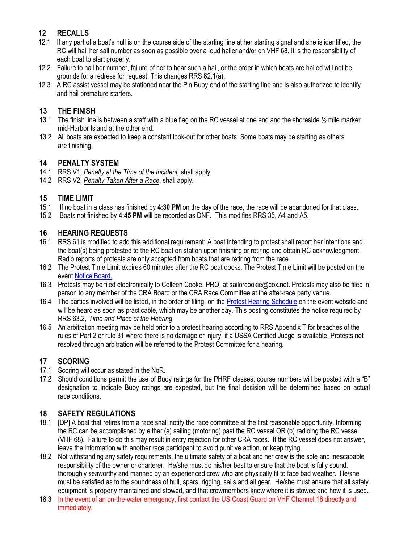#### **12 RECALLS**

- 12.1 If any part of a boat's hull is on the course side of the starting line at her starting signal and she is identified, the RC will hail her sail number as soon as possible over a loud hailer and/or on VHF 68. It is the responsibility of each boat to start properly.
- 12.2 Failure to hail her number, failure of her to hear such a hail, or the order in which boats are hailed will not be grounds for a redress for request. This changes RRS 62.1(a).
- 12.3 A RC assist vessel may be stationed near the Pin Buoy end of the starting line and is also authorized to identify and hail premature starters.

#### **13 THE FINISH**

- 13.1 The finish line is between a staff with a blue flag on the RC vessel at one end and the shoreside ½ mile marker mid-Harbor Island at the other end.
- 13.2 All boats are expected to keep a constant look-out for other boats. Some boats may be starting as others are finishing.

#### **14 PENALTY SYSTEM**

- 14.1 RRS V1, *Penalty at the Time of the Incident,* shall apply.
- 14.2 RRS V2, *Penalty Taken After a Race*, shall apply.

#### **15 TIME LIMIT**

- 15.1 If no boat in a class has finished by **4:30 PM** on the day of the race, the race will be abandoned for that class.
- 15.2 Boats not finished by **4:45 PM** will be recorded as DNF. This modifies RRS 35, A4 and A5.

#### **16 HEARING REQUESTS**

- 16.1 RRS 61 is modified to add this additional requirement: A boat intending to protest shall report her intentions and the boat(s) being protested to the RC boat on station upon finishing or retiring and obtain RC acknowledgment. Radio reports of protests are only accepted from boats that are retiring from the race.
- 16.2 The Protest Time Limit expires 60 minutes after the RC boat docks. The Protest Time Limit will be posted on the event [Notice Board.](https://www.regattanetwork.com/event/24461)
- 16.3 Protests may be filed electronically to Colleen Cooke, PRO, at sailorcookie@cox.net. Protests may also be filed in person to any member of the CRA Board or the CRA Race Committee at the after-race party venue.
- 16.4 The parties involved will be listed, in the order of filing, on the [Protest Hearing Schedule](https://www.regattanetwork.com/event/24461) on the event website and will be heard as soon as practicable, which may be another day. This posting constitutes the notice required by RRS 63.2, *Time and Place of the Hearing*.
- 16.5 An arbitration meeting may be held prior to a protest hearing according to RRS Appendix T for breaches of the rules of Part 2 or rule 31 where there is no damage or injury, if a USSA Certified Judge is available. Protests not resolved through arbitration will be referred to the Protest Committee for a hearing.

#### **17 SCORING**

- 17.1 Scoring will occur as stated in the NoR.
- 17.2 Should conditions permit the use of Buoy ratings for the PHRF classes, course numbers will be posted with a "B" designation to indicate Buoy ratings are expected, but the final decision will be determined based on actual race conditions.

#### **18 SAFETY REGULATIONS**

- 18.1 [DP] A boat that retires from a race shall notify the race committee at the first reasonable opportunity. Informing the RC can be accomplished by either (a) sailing (motoring) past the RC vessel OR (b) radioing the RC vessel (VHF 68). Failure to do this may result in entry rejection for other CRA races. If the RC vessel does not answer, leave the information with another race participant to avoid punitive action, or keep trying.
- 18.2 Not withstanding any safety requirements, the ultimate safety of a boat and her crew is the sole and inescapable responsibility of the owner or charterer. He/she must do his/her best to ensure that the boat is fully sound, thoroughly seaworthy and manned by an experienced crew who are physically fit to face bad weather. He/she must be satisfied as to the soundness of hull, spars, rigging, sails and all gear. He/she must ensure that all safety equipment is properly maintained and stowed, and that crewmembers know where it is stowed and how it is used.
- 18.3 In the event of an on-the-water emergency, first contact the US Coast Guard on VHF Channel 16 directly and immediately.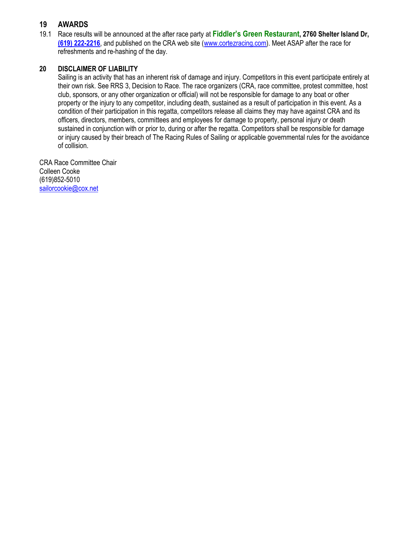#### **19 AWARDS**

19.1 Race results will be announced at the after race party at **Fiddler's Green Restaurant, 2760 Shelter Island Dr, [\(619\) 222-2216](javascript:void(0))**, and published on the CRA web site [\(www.cortezracing.com\)](http://www.cortezracing.com/). Meet ASAP after the race for refreshments and re-hashing of the day.

#### **20 DISCLAIMER OF LIABILITY**

Sailing is an activity that has an inherent risk of damage and injury. Competitors in this event participate entirely at their own risk. See RRS 3, Decision to Race. The race organizers (CRA, race committee, protest committee, host club, sponsors, or any other organization or official) will not be responsible for damage to any boat or other property or the injury to any competitor, including death, sustained as a result of participation in this event. As a condition of their participation in this regatta, competitors release all claims they may have against CRA and its officers, directors, members, committees and employees for damage to property, personal injury or death sustained in conjunction with or prior to, during or after the regatta. Competitors shall be responsible for damage or injury caused by their breach of The Racing Rules of Sailing or applicable governmental rules for the avoidance of collision.

CRA Race Committee Chair Colleen Cooke (619)852-5010 [sailorcookie@cox.net](mailto:sailorcookie@cox.net)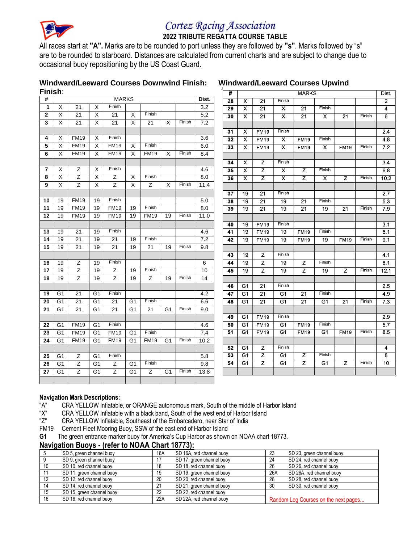

# 

#### **2022 TRIBUTE REGATTA COURSE TABLE**

All races start at **"A".** Marks are to be rounded to port unless they are followed by **"s"**. Marks followed by "s" are to be rounded to starboard. Distances are calculated from current charts and are subject to change due to occasional buoy repositioning by the US Coast Guard.

# **Windward/Leeward Courses Downwind Finish: Windward/Leeward Courses Upwind**

| Finish:      |                         |                |                         |                |                |             |                 |        |       | #<br><b>MARKS</b> |                         |                 |                         |                 |                         |                 |        |                         |  |
|--------------|-------------------------|----------------|-------------------------|----------------|----------------|-------------|-----------------|--------|-------|-------------------|-------------------------|-----------------|-------------------------|-----------------|-------------------------|-----------------|--------|-------------------------|--|
| #            |                         |                |                         | <b>MARKS</b>   |                |             |                 |        | Dist. | $\overline{28}$   | X                       | $\overline{21}$ | Finish                  |                 |                         |                 |        | Dist.<br>$\overline{2}$ |  |
| 1            | X                       | 21             | X                       | Finish         |                |             |                 |        | 3.2   | 29                | x                       | $\overline{21}$ | x                       | 21              | Finish                  |                 |        | 4                       |  |
| $\mathbf{2}$ | X                       | 21             | X                       | 21             | X              | Finish      |                 |        | 5.2   | 30                | X                       | 21              | $\overline{\mathsf{x}}$ | 21              | $\overline{\mathsf{x}}$ | $\overline{21}$ | Finish | 6                       |  |
| 3            | X                       | 21             | X                       | 21             | X              | 21          | X               | Finish | 7.2   |                   |                         |                 |                         |                 |                         |                 |        |                         |  |
|              |                         |                |                         |                |                |             |                 |        |       | 31                | х                       | <b>FM19</b>     | Finish                  |                 |                         |                 |        | 2.4                     |  |
| 4            | X                       | <b>FM19</b>    | X                       | Finish         |                |             |                 |        | 3.6   | 32                | X                       | <b>FM19</b>     | X                       | <b>FM19</b>     | Finish                  |                 |        | 4.8                     |  |
| 5            | X                       | <b>FM19</b>    | X                       | <b>FM19</b>    | $\times$       | Finish      |                 |        | 6.0   | 33                | x                       | <b>FM19</b>     | $\overline{\mathsf{x}}$ | <b>FM19</b>     | $\overline{\mathsf{x}}$ | <b>FM19</b>     | Finish | 7.2                     |  |
| 6            | $\overline{\mathsf{x}}$ | <b>FM19</b>    | X                       | <b>FM19</b>    | $\times$       | <b>FM19</b> | $\times$        | Finish | 8.4   |                   |                         |                 |                         |                 |                         |                 |        |                         |  |
|              |                         |                |                         |                |                |             |                 |        |       | 34                | х                       | z               | Finish                  |                 |                         |                 |        | $\overline{3.4}$        |  |
| 7            | X                       | $\overline{z}$ | $\overline{\mathsf{x}}$ | Finish         |                |             |                 |        | 4.6   | 35                | $\overline{\mathsf{x}}$ | $\overline{z}$  | $\overline{\mathsf{x}}$ | $\overline{z}$  | Finish                  |                 |        | 6.8                     |  |
| 8            | $\overline{\mathsf{x}}$ | Z              | $\overline{\mathsf{x}}$ | $\overline{z}$ | $\overline{X}$ | Finish      |                 |        | 8.0   | 36                | X                       | z               | $\overline{\mathsf{x}}$ | z               | $\overline{\mathsf{x}}$ | Z               | Finish | 10.2                    |  |
| 9            | X                       | $\overline{z}$ | X                       | Ζ              | X              | Z           | X               | Finish | 11.4  |                   |                         |                 |                         |                 |                         |                 |        |                         |  |
|              |                         |                |                         |                |                |             |                 |        |       | 37                | 19                      | 21              | Finish                  |                 |                         |                 |        | 2.7                     |  |
| 10           | 19                      | <b>FM19</b>    | 19                      | Finish         |                |             |                 |        | 5.0   | 38                | 19                      | $\overline{21}$ | $\overline{19}$         | $\overline{21}$ | Finish                  |                 |        | $\overline{5.3}$        |  |
| 11           | 19                      | <b>FM19</b>    | 19                      | <b>FM19</b>    | 19             | Finish      |                 |        | 8.0   | 39                | 19                      | 21              | 19                      | 21              | 19                      | 21              | Finish | 7.9                     |  |
| 12           | 19                      | <b>FM19</b>    | 19                      | <b>FM19</b>    | 19             | <b>FM19</b> | $\overline{19}$ | Finish | 11.0  |                   |                         |                 |                         |                 |                         |                 |        |                         |  |
|              |                         |                |                         |                |                |             |                 |        |       | 40                | 19                      | <b>FM19</b>     | Finish                  |                 |                         |                 |        | $\overline{3.1}$        |  |
| 13           | 19                      | 21             | 19                      | Finish         |                |             |                 |        | 4.6   | 41                | 19                      | <b>FM19</b>     | 19                      | <b>FM19</b>     | Finish                  |                 |        | 6.1                     |  |
| 14           | 19                      | 21             | 19                      | 21             | 19             | Finish      |                 |        | 7.2   | 42                | 19                      | <b>FM19</b>     | $\overline{19}$         | <b>FM19</b>     | 19                      | <b>FM19</b>     | Finish | 9.1                     |  |
| 15           | 19                      | 21             | 19                      | 21             | 19             | 21          | 19              | Finish | 9.8   |                   |                         |                 |                         |                 |                         |                 |        |                         |  |
|              |                         |                |                         |                |                |             |                 |        |       | 43                | 19                      | z               | Finish                  |                 |                         |                 |        | 4.1                     |  |
| 16           | 19                      | Ζ              | 19                      | Finish         |                |             |                 |        | 6     | 44                | 19                      | z               | 19                      | z               | Finish                  |                 |        | 8.1                     |  |
| 17           | 19                      | Ζ              | 19                      | Ζ              | 19             | Finish      |                 |        | 10    | 45                | 19                      | z               | 19                      | $\overline{z}$  | 19                      | z               | Finish | 12.1                    |  |
| 18           | 19                      | $\overline{z}$ | 19                      | Z              | 19             | Z           | 19              | Finish | 14    |                   |                         |                 |                         |                 |                         |                 |        |                         |  |
|              |                         |                |                         |                |                |             |                 |        |       | 46                | G <sub>1</sub>          | 21              | Finish                  |                 |                         |                 |        | 2.5                     |  |
| 19           | G1                      | 21             | G <sub>1</sub>          | Finish         |                |             |                 |        | 4.2   | 47                | G1                      | 21              | G <sub>1</sub>          | 21              | Finish                  |                 |        | 4.9                     |  |
| 20           | G <sub>1</sub>          | 21             | G <sub>1</sub>          | 21             | G <sub>1</sub> | Finish      |                 |        | 6.6   | 48                | G1                      | $\overline{21}$ | G <sub>1</sub>          | $\overline{21}$ | G1                      | 21              | Finish | $\overline{7.3}$        |  |
| 21           | G <sub>1</sub>          | 21             | G <sub>1</sub>          | 21             | G <sub>1</sub> | 21          | G <sub>1</sub>  | Finish | 9.0   |                   |                         |                 |                         |                 |                         |                 |        |                         |  |
|              |                         |                |                         |                |                |             |                 |        |       | 49                | G1                      | <b>FM19</b>     | Finish                  |                 |                         |                 |        | 2.9                     |  |
| 22           | G1                      | <b>FM19</b>    | G <sub>1</sub>          | Finish         |                |             |                 |        | 4.6   | 50                | G1                      | <b>FM19</b>     | G1                      | <b>FM19</b>     | Finish                  |                 |        | 5.7                     |  |
| 23           | G <sub>1</sub>          | <b>FM19</b>    | G1                      | <b>FM19</b>    | G1             | Finish      |                 |        | 7.4   | 51                | G <sub>1</sub>          | <b>FM19</b>     | G <sub>1</sub>          | <b>FM19</b>     | G <sub>1</sub>          | <b>FM19</b>     | Finish | 8.5                     |  |
| 24           | $\overline{G1}$         | <b>FM19</b>    | G <sub>1</sub>          | <b>FM19</b>    | G <sub>1</sub> | <b>FM19</b> | $\overline{G1}$ | Finish | 10.2  |                   |                         |                 |                         |                 |                         |                 |        |                         |  |
|              |                         |                |                         |                |                |             |                 |        |       | 52                | G1                      | $\overline{z}$  | Finish                  |                 |                         |                 |        | 4                       |  |
| 25           | G <sub>1</sub>          | Ζ              | G <sub>1</sub>          | Finish         |                |             |                 |        | 5.8   | 53                | G1                      | Z               | G1                      | Z               | Finish                  |                 |        | 8                       |  |
| 26           | G <sub>1</sub>          | $\overline{Z}$ | G <sub>1</sub>          | $\overline{Z}$ | G <sub>1</sub> | Finish      |                 |        | 9.8   | 54                | G1                      | z               | G1                      | $\overline{z}$  | G1                      | $\overline{z}$  | Finish | 10                      |  |
| 27           | G <sub>1</sub>          | Z              | G1                      | Ζ              | G <sub>1</sub> | Ζ           | G <sub>1</sub>  | Finish | 13.8  |                   |                         |                 |                         |                 |                         |                 |        |                         |  |
|              |                         |                |                         |                |                |             |                 |        |       |                   |                         |                 |                         |                 |                         |                 |        |                         |  |

#### **Navigation Mark Descriptions:**

- "A" CRA YELLOW Inflatable, or ORANGE autonomous mark, South of the middle of Harbor Island<br>"X" CRA YELLOW Inflatable with a black band. South of the west end of Harbor Island
- "X" CRA YELLOW Inflatable with a black band, South of the west end of Harbor Island<br>"Z" CRA YELLOW Inflatable, Southeast of the Embarcadero, near Star of India
- CRA YELLOW Inflatable, Southeast of the Embarcadero, near Star of India
- FM19 Cement Fleet Mooring Buoy, SSW of the east end of Harbor Island
- **G1** The green entrance marker buoy for America's Cup Harbor as shown on NOAA chart 18773.

#### **Navigation Buoys - (refer to NOAA Chart 18773):**

|    | SD 5, green channel buoy  | 16A | SD 16A, red channel buoy  | 23  | SD 23, green channel buoy            |
|----|---------------------------|-----|---------------------------|-----|--------------------------------------|
|    | SD 9, green channel buoy  | 17  | SD 17, green channel buoy | 24  | SD 24, red channel buoy              |
| 10 | SD 10, red channel buoy   | 18  | SD 18, red channel buoy   | 26  | SD 26, red channel buoy              |
|    | SD 11, green channel buoy | 19  | SD 19, green channel buoy | 26A | SD 26A, red channel buoy             |
|    | SD 12, red channel buoy   | 20  | SD 20, red channel buoy   | 28  | SD 28, red channel buoy              |
| 14 | SD 14, red channel buoy   | 21  | SD 21, green channel buoy | 30  | SD 30, red channel buoy              |
| 15 | SD 15, green channel buoy | 22  | SD 22, red channel buoy   |     |                                      |
| 16 | SD 16, red channel buoy   | 22A | SD 22A, red channel buoy  |     | Random Leg Courses on the next pages |
|    |                           |     |                           |     |                                      |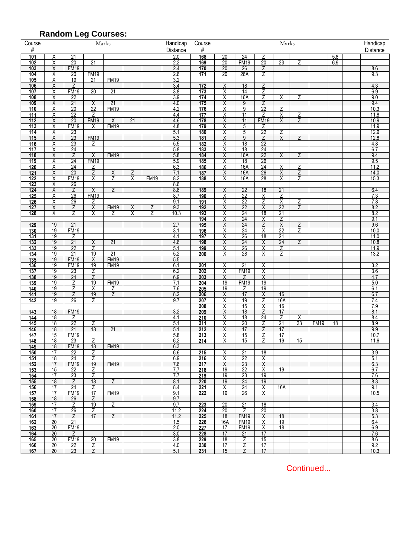|                  |                         | <b>Random Leg Courses:</b> |                      |                            |                |             |                      |            |                 |                       |                         |                       |                     |             |     |  |                      |  |
|------------------|-------------------------|----------------------------|----------------------|----------------------------|----------------|-------------|----------------------|------------|-----------------|-----------------------|-------------------------|-----------------------|---------------------|-------------|-----|--|----------------------|--|
| Course<br>#      |                         |                            |                      | Marks                      |                |             | Handicap<br>Distance | Course     | Marks<br>#      |                       |                         |                       |                     |             |     |  | Handicap<br>Distance |  |
| 101              | Χ                       | $\overline{21}$            |                      |                            |                |             | 2.0                  | 168        | 20              | 24                    | Ζ                       |                       |                     |             | 5.8 |  |                      |  |
| 102              | Χ                       | $\overline{20}$            | 21                   |                            |                |             | 2.2                  | 169        | $\overline{20}$ | <b>FM19</b>           | $\overline{20}$         | 23                    | Z                   |             | 6.9 |  |                      |  |
| 103              | $\overline{\mathsf{x}}$ | <b>FM19</b>                |                      |                            |                |             | 2.4                  | 170        | $\overline{20}$ | 26                    | Ζ                       |                       |                     |             |     |  | 8.6                  |  |
| 104<br>105       | Χ<br>Χ                  | 20<br>19                   | <b>FM19</b><br>21    | <b>FM19</b>                |                |             | 2.6<br>3.2           | 171        | 20              | 26A                   | Z                       |                       |                     |             |     |  | 9.3                  |  |
| 106              | $\overline{\mathsf{x}}$ | Ζ                          |                      |                            |                |             | 3.4                  | 172        | X               | 18                    | Z                       |                       |                     |             |     |  | 4.3                  |  |
| 107              | Χ                       | <b>FM19</b>                | $\overline{20}$      | $\overline{21}$            |                |             | 3.8                  | 173        | Χ               | 14                    | Z                       |                       |                     |             |     |  | 6.9                  |  |
| 108              | Χ                       | 22                         |                      |                            |                |             | 3.9                  | 174        | Χ               | 16A                   | Z                       | X                     | Ζ                   |             |     |  | 9.0                  |  |
| 109<br>110       | Χ<br>Χ                  | 21<br>20                   | X<br>$\overline{22}$ | 21<br><b>FM19</b>          |                |             | 4.0<br>4.2           | 175<br>176 | Χ<br>Χ          | 9<br>9                | Z<br>$\overline{22}$    | Ζ                     |                     |             |     |  | 9.4<br>10.3          |  |
| $111$            | $\overline{\mathsf{x}}$ | $\overline{22}$            | Z                    |                            |                |             | 4.4                  | 177        | Χ               | $\overline{11}$       | Ζ                       | $\overline{X}$        | Ζ                   |             |     |  | 11.8                 |  |
| 112              | Χ                       | $\overline{20}$            | <b>FM19</b>          | X                          | 21             |             | 4.6                  | 178        | Χ               | 11                    | <b>FM19</b>             | X                     | Z                   |             |     |  | 10.9                 |  |
| 113              | Χ                       | <b>FM19</b>                | X                    | <b>FM19</b>                |                |             | 4.8                  | 179        | Χ               | 5                     | Ζ                       |                       |                     |             |     |  | 11.9                 |  |
| 114              | X                       | $\overline{23}$            |                      |                            |                |             | 5.1                  | 180        | Χ               | 5                     | $\overline{22}$         | Ζ                     |                     |             |     |  | 12.9                 |  |
| 115<br>116       | Χ<br>$\overline{X}$     | 23<br>23                   | <b>FM19</b><br>Ζ     |                            |                |             | 5.3<br>5.5           | 181<br>182 | Χ<br>Χ          | 9<br>18               | Ζ<br>$\overline{22}$    | Χ                     | Ζ                   |             |     |  | 12.8<br>4.8          |  |
| 117              | X                       | 24                         |                      |                            |                |             | 5.8                  | 183        | Χ               | 18                    | 24                      |                       |                     |             |     |  | 6.7                  |  |
| 118              | Χ                       | Ζ                          | X                    | <b>FM19</b>                |                |             | 5.8                  | 184        | X               | 16A                   | 22                      | X                     | Z                   |             |     |  | 9.4                  |  |
| 119              | Χ                       | 24                         | <b>FM19</b>          |                            |                |             | 5.9                  | 185        | Χ               | 18                    | 26                      |                       |                     |             |     |  | 9.5                  |  |
| 120              | Χ                       | $\overline{24}$            | Ζ                    |                            |                |             | 6.3                  | 186        | Χ               | 16A                   | $\overline{24}$         | Χ                     | Ζ                   |             |     |  | 11.2                 |  |
| 121<br>122       | X<br>X                  | 20<br><b>FM19</b>          | Z<br>X               | X<br>Ζ                     | Z<br>X         | <b>FM19</b> | 7.1<br>8.2           | 187<br>188 | Χ<br>Χ          | 16A<br>16A            | 26<br>28                | X<br>X                | Z<br>Z              |             |     |  | 14.0<br>15.3         |  |
| 123              | X                       | 26                         |                      |                            |                |             | 8.6                  |            |                 |                       |                         |                       |                     |             |     |  |                      |  |
| 124              | X                       | Z                          | X                    | Z                          |                |             | 8.6                  | 189        | Χ               | 22                    | 18                      | 21                    |                     |             |     |  | 6.4                  |  |
| 125              | Χ                       | 26                         | <b>FM19</b>          |                            |                |             | 8.7<br>9.1           | 190        | X               | 22<br>22              | X                       | Z                     |                     |             |     |  | $\frac{1}{7.3}$      |  |
| 126<br>127       | Χ<br>Χ                  | 26<br>Ζ                    | Ζ<br>$\overline{X}$  | <b>FM19</b>                | X              | Ζ           | 9.3                  | 191<br>192 | Χ<br>Χ          | $\overline{22}$       | Ζ<br>X                  | Χ<br>$\overline{22}$  | Ζ<br>Z              |             |     |  | 7.8<br>8.2           |  |
| 128              | X                       | Z                          | X                    | Z                          | $\overline{X}$ | Z           | 10.3                 | 193        | Χ               | 24                    | 18                      | 21                    |                     |             |     |  | 8.2                  |  |
|                  |                         |                            |                      |                            |                |             |                      | 194        | Χ               | 24                    | Χ                       | Ζ                     |                     |             |     |  | 9.1                  |  |
| 129              | 19                      | 21                         |                      |                            |                |             | 2.7                  | 195        | Χ               | 24                    | Z                       | Χ                     | $\overline{Z}$<br>Z |             |     |  | 9.6                  |  |
| 130<br>131       | 19<br>19                | <b>FM19</b><br>Ζ           |                      |                            |                |             | 3.1<br>4.1           | 196<br>197 | Χ<br>Χ          | 24<br>26              | Χ<br>18                 | $\overline{22}$<br>21 |                     |             |     |  | 10.0<br>11.0         |  |
| 132              | 19                      | 21                         | $\overline{X}$       | 21                         |                |             | 4.6                  | 198        | Χ               | $\overline{24}$       | X                       | $\overline{24}$       | $\overline{Z}$      |             |     |  | 10.8                 |  |
| $\overline{133}$ | 19                      | $\overline{22}$            | Ζ                    |                            |                |             | 5.1                  | 199        | Χ               | $\overline{26}$       | Χ                       | Ζ                     |                     |             |     |  | 11.9                 |  |
| 134              | 19                      | 21                         | 19                   | $\overline{21}$            |                |             | 5.2                  | 200        | Χ               | 28                    | Χ                       | Z                     |                     |             |     |  | 13.2                 |  |
| 135<br>136       | 19<br>19                | <b>FM19</b><br><b>FM19</b> | Χ<br>19              | <b>FM19</b><br><b>FM19</b> |                |             | 5.5<br>6.1           | 201        | Χ               | $\overline{21}$       | Χ                       |                       |                     |             |     |  | 3.2                  |  |
| 137              | 19                      | 23                         | Ζ                    |                            |                |             | 6.2                  | 202        | Χ               | <b>FM19</b>           | Χ                       |                       |                     |             |     |  | 3.6                  |  |
| 138              | 19                      | 24                         | Z                    |                            |                |             | 6.9                  | 203        | Χ               | Z                     | X                       |                       |                     |             |     |  | 4.7                  |  |
| 139              | 19<br>19                | Ζ                          | 19                   | <b>FM19</b>                |                |             | 7.1                  | 204        | 19              | <b>FM19</b>           | 19<br>19                |                       |                     |             |     |  | 5.0                  |  |
| 140<br>141       | 19                      | Ζ<br>Ζ                     | Χ<br>19              | Ζ<br>Z                     |                |             | 7.6<br>8.2           | 205<br>206 | 19<br>X         | Ζ<br>17               | Χ                       | 16                    |                     |             |     |  | 6.1<br>6.7           |  |
| 142              | 19                      | $\overline{26}$            | Z                    |                            |                |             | 9.7                  | 207        | Χ               | 19                    | Ζ                       | 16A                   |                     |             |     |  | 7.4                  |  |
|                  |                         |                            |                      |                            |                |             |                      | 208        | Χ               | 15                    | Χ                       | 16                    |                     |             |     |  | 7.9                  |  |
| 143              | 18<br>18                | <b>FM19</b>                |                      |                            |                |             | 3.2                  | 209        | Χ               | 18                    | Z<br>24                 | 17                    |                     |             |     |  | 8.1                  |  |
| 144<br>145       | 18                      | Ζ<br>$\overline{22}$       | Ζ                    |                            |                |             | 4.1<br>5.1           | 210<br>211 | Χ<br>Χ          | 18<br>20              | Z                       | Ζ<br>$\overline{21}$  | Х<br>23             | <b>FM19</b> | 18  |  | 8.4<br>8.9           |  |
| 146              | 18                      | 21                         | 18                   | $\overline{21}$            |                |             | 5.1                  | 212        | Χ               | 17                    | Z                       | 17                    |                     |             |     |  | 9.9                  |  |
| 147              | 15                      | <b>FM19</b>                |                      |                            |                |             | 5.8                  | 213        | Χ               | 15                    | Ζ                       | 17                    |                     |             |     |  | 10.7                 |  |
| 148<br>149       | 18<br>18                | 23<br><b>FM19</b>          | Ζ<br>18              | <b>FM19</b>                |                |             | 6.2<br>6.3           | 214        | X               | 15                    | Z                       | 19                    | 15                  |             |     |  | 11.6                 |  |
| 150              | 17                      | 22                         | Z                    |                            |                |             | 6.6                  | 215        | $\overline{X}$  | 21                    | 18                      |                       |                     |             |     |  | 3.9                  |  |
| 151              | 18                      | 24                         | Ζ                    |                            |                |             | 6.9                  | 216        | Χ               | 22                    | Χ                       |                       |                     |             |     |  | 5.1                  |  |
| 152              | 17                      | <b>FM19</b>                | 19                   | <b>FM19</b>                |                |             | 7.6                  | 217        | Χ               | 23                    | $\overline{\mathsf{x}}$ |                       |                     |             |     |  | 6.3                  |  |
| 153<br>154       | 15<br>17                | 22<br>23                   | Z<br>Ζ               |                            |                |             | 7.7<br>7.7           | 218<br>219 | 19<br>19        | $\overline{22}$<br>23 | X<br>19                 | $\overline{19}$       |                     |             |     |  | 6.7<br>7.6           |  |
| 155              | 18                      | Z                          | 18                   | $\overline{Z}$             |                |             | 8.1                  | 220        | 19              | 24                    | 19                      |                       |                     |             |     |  | 8.3                  |  |
| 156              | 17                      | $\overline{24}$            | Ζ                    |                            |                |             | 8.4                  | 221        | Χ               | $\overline{24}$       | X                       | 16A                   |                     |             |     |  | 9.1                  |  |
| 157              | 17                      | <b>FM19</b>                | 17                   | <b>FM19</b>                |                |             | 9.1                  | 222        | 19              | 26                    | Χ                       |                       |                     |             |     |  | 10.5                 |  |
| 158<br>159       | 18<br>17                | 26<br>Ζ                    | Z<br>19              | Z.                         |                |             | 9.7<br>9.7           | 223        | 20              | $\overline{21}$       | 18                      |                       |                     |             |     |  | 3.4                  |  |
| 160              | 17                      | 26                         | Z                    |                            |                |             | 11.2                 | 224        | $\overline{20}$ | Z                     | 20                      |                       |                     |             |     |  | 3.8                  |  |
| 161              | 17                      | Ζ                          | 17                   | Z                          |                |             | 11.2                 | 225        | 18              | <b>FM19</b>           | $\sf X$                 | 18                    |                     |             |     |  | 5.3                  |  |
| 162              | $\overline{20}$         | $\overline{21}$            |                      |                            |                |             | 1.5                  | 226        | 16A             | <b>FM19</b>           | Χ                       | 19                    |                     |             |     |  | 6.4                  |  |
| 163<br>164       | 20<br>20                | <b>FM19</b><br>Z           |                      |                            |                |             | 2.0<br>3.0           | 227<br>228 | 17<br>17        | <b>FM19</b><br>21     | Χ<br>17                 | 18                    |                     |             |     |  | 6.9<br>7.6           |  |
| 165              | 20                      | <b>FM19</b>                | 20                   | <b>FM19</b>                |                |             | 3.8                  | 229        | 18              | Ζ                     | 15                      |                       |                     |             |     |  | 8.6                  |  |
| 166              | 20                      | 22                         | Z                    |                            |                |             | 4.0                  | 230        | 17              | Ζ                     | 17                      |                       |                     |             |     |  | 9.2                  |  |
| 167              | 20                      | 23                         | Z                    |                            |                |             | 5.1                  | 231        | 15              | Ζ                     | 17                      |                       |                     |             |     |  | 10.3                 |  |

Continued...